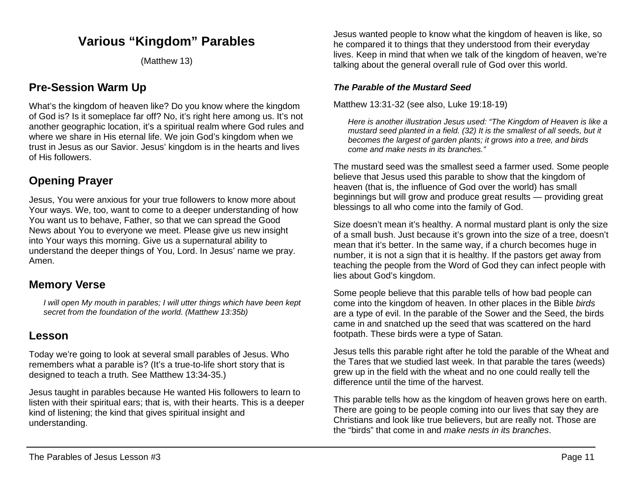# **Various "Kingdom" Parables**

(Matthew 13)

## **Pre-Session Warm Up**

What's the kingdom of heaven like? Do you know where the kingdom of God is? Is it someplace far off? No, it's right here among us. It's not another geographic location, it's a spiritual realm where God rules and where we share in His eternal life. We join God's kingdom when we trust in Jesus as our Savior. Jesus' kingdom is in the hearts and lives of His followers.

## **Opening Prayer**

Jesus, You were anxious for your true followers to know more about Your ways. We, too, want to come to a deeper understanding of how You want us to behave, Father, so that we can spread the Good News about You to everyone we meet. Please give us new insight into Your ways this morning. Give us a supernatural ability to understand the deeper things of You, Lord. In Jesus' name we pray. Amen.

## **Memory Verse**

*I will open My mouth in parables; I will utter things which have been kept secret from the foundation of the world. (Matthew 13:35b)*

## **Lesson**

Today we're going to look at several small parables of Jesus. Who remembers what a parable is? (It's a true-to-life short story that is designed to teach a truth. See Matthew 13:34-35.)

Jesus taught in parables because He wanted His followers to learn to listen with their spiritual ears; that is, with their hearts. This is a deeper kind of listening; the kind that gives spiritual insight and understanding.

Jesus wanted people to know what the kingdom of heaven is like, so he compared it to things that they understood from their everyday lives. Keep in mind that when we talk of the kingdom of heaven, we're talking about the general overall rule of God over this world.

### *The Parable of the Mustard Seed*

Matthew 13:31-32 (see also, Luke 19:18-19)

*Here is another illustration Jesus used: "The Kingdom of Heaven is like a mustard seed planted in a field. (32) It is the smallest of all seeds, but it becomes the largest of garden plants; it grows into a tree, and birds come and make nests in its branches."*

The mustard seed was the smallest seed a farmer used. Some people believe that Jesus used this parable to show that the kingdom of heaven (that is, the influence of God over the world) has small beginnings but will grow and produce great results — providing great blessings to all who come into the family of God.

Size doesn't mean it's healthy. A normal mustard plant is only the size of a small bush. Just because it's grown into the size of a tree, doesn't mean that it's better. In the same way, if a church becomes huge in number, it is not a sign that it is healthy. If the pastors get away from teaching the people from the Word of God they can infect people with lies about God's kingdom.

Some people believe that this parable tells of how bad people can come into the kingdom of heaven. In other places in the Bible *birds* are a type of evil. In the parable of the Sower and the Seed, the birds came in and snatched up the seed that was scattered on the hard footpath. These birds were a type of Satan.

Jesus tells this parable right after he told the parable of the Wheat and the Tares that we studied last week. In that parable the tares (weeds) grew up in the field with the wheat and no one could really tell the difference until the time of the harvest.

This parable tells how as the kingdom of heaven grows here on earth. There are going to be people coming into our lives that say they are Christians and look like true believers, but are really not. Those are the "birds" that come in and *make nests in its branches*.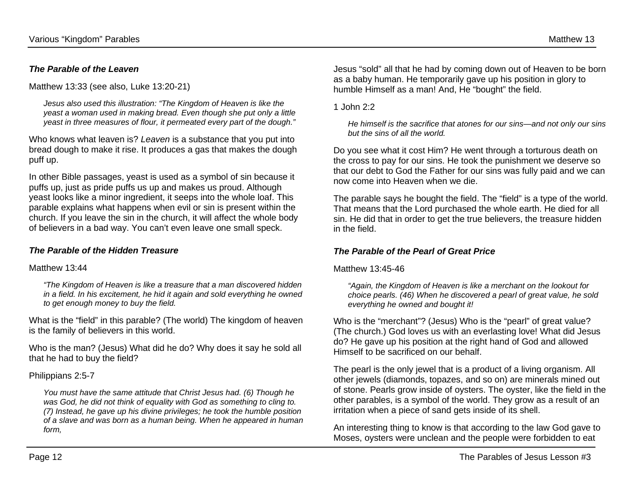#### *The Parable of the Leaven*

Matthew 13:33 (see also, Luke 13:20-21)

*Jesus also used this illustration: "The Kingdom of Heaven is like the yeast a woman used in making bread. Even though she put only a little yeast in three measures of flour, it permeated every part of the dough."*

Who knows what leaven is? *Leaven* is a substance that you put into bread dough to make it rise. It produces a gas that makes the dough puff up.

In other Bible passages, yeast is used as a symbol of sin because it puffs up, just as pride puffs us up and makes us proud. Although yeast looks like a minor ingredient, it seeps into the whole loaf. This parable explains what happens when evil or sin is present within the church. If you leave the sin in the church, it will affect the whole body of believers in a bad way. You can't even leave one small speck.

#### *The Parable of the Hidden Treasure*

#### Matthew 13:44

*"The Kingdom of Heaven is like a treasure that a man discovered hidden in a field. In his excitement, he hid it again and sold everything he owned to get enough money to buy the field.*

What is the "field" in this parable? (The world) The kingdom of heaven is the family of believers in this world.

Who is the man? (Jesus) What did he do? Why does it say he sold all that he had to buy the field?

#### Philippians 2:5-7

*You must have the same attitude that Christ Jesus had. (6) Though he was God, he did not think of equality with God as something to cling to. (7) Instead, he gave up his divine privileges; he took the humble position of a slave and was born as a human being. When he appeared in human form,*

Jesus "sold" all that he had by coming down out of Heaven to be born as a baby human. He temporarily gave up his position in glory to humble Himself as a man! And, He "bought" the field.

1  $John 2.2$ 

*He himself is the sacrifice that atones for our sins—and not only our sins but the sins of all the world.*

Do you see what it cost Him? He went through a torturous death on the cross to pay for our sins. He took the punishment we deserve so that our debt to God the Father for our sins was fully paid and we can now come into Heaven when we die.

The parable says he bought the field. The "field" is a type of the world. That means that the Lord purchased the whole earth. He died for all sin. He did that in order to get the true believers, the treasure hidden in the field.

#### *The Parable of the Pearl of Great Price*

Matthew 13:45-46

*"Again, the Kingdom of Heaven is like a merchant on the lookout for choice pearls. (46) When he discovered a pearl of great value, he sold everything he owned and bought it!*

Who is the "merchant"? (Jesus) Who is the "pearl" of great value? (The church.) God loves us with an everlasting love! What did Jesus do? He gave up his position at the right hand of God and allowed Himself to be sacrificed on our behalf.

The pearl is the only jewel that is a product of a living organism. All other jewels (diamonds, topazes, and so on) are minerals mined out of stone. Pearls grow inside of oysters. The oyster, like the field in the other parables, is a symbol of the world. They grow as a result of an irritation when a piece of sand gets inside of its shell.

An interesting thing to know is that according to the law God gave to Moses, oysters were unclean and the people were forbidden to eat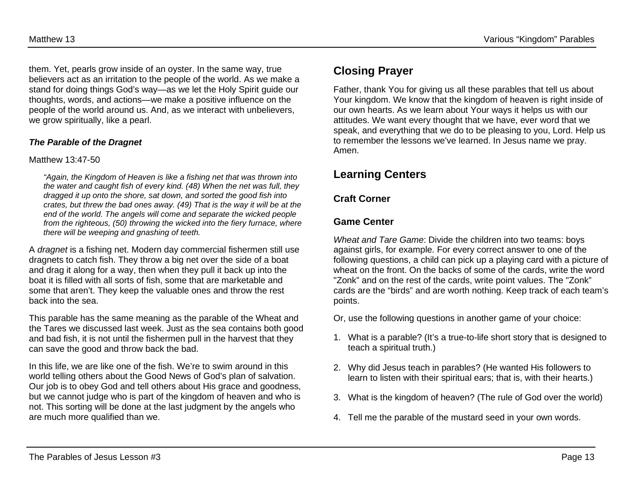them. Yet, pearls grow inside of an oyster. In the same way, true believers act as an irritation to the people of the world. As we make a stand for doing things God's way—as we let the Holy Spirit guide our thoughts, words, and actions—we make a positive influence on the people of the world around us. And, as we interact with unbelievers, we grow spiritually, like a pearl.

#### *The Parable of the Dragnet*

#### Matthew 13:47-50

*"Again, the Kingdom of Heaven is like a fishing net that was thrown into the water and caught fish of every kind. (48) When the net was full, they dragged it up onto the shore, sat down, and sorted the good fish into crates, but threw the bad ones away. (49) That is the way it will be at the end of the world. The angels will come and separate the wicked people from the righteous, (50) throwing the wicked into the fiery furnace, where there will be weeping and gnashing of teeth.*

A *dragnet* is a fishing net. Modern day commercial fishermen still use dragnets to catch fish. They throw a big net over the side of a boat and drag it along for a way, then when they pull it back up into the boat it is filled with all sorts of fish, some that are marketable and some that aren't. They keep the valuable ones and throw the rest back into the sea.

This parable has the same meaning as the parable of the Wheat and the Tares we discussed last week. Just as the sea contains both good and bad fish, it is not until the fishermen pull in the harvest that they can save the good and throw back the bad.

In this life, we are like one of the fish. We're to swim around in this world telling others about the Good News of God's plan of salvation. Our job is to obey God and tell others about His grace and goodness, but we cannot judge who is part of the kingdom of heaven and who is not. This sorting will be done at the last judgment by the angels who are much more qualified than we.

Father, thank You for giving us all these parables that tell us about Your kingdom. We know that the kingdom of heaven is right inside of our own hearts. As we learn about Your ways it helps us with our attitudes. We want every thought that we have, ever word that we speak, and everything that we do to be pleasing to you, Lord. Help us to remember the lessons we've learned. In Jesus name we pray. Amen.

# **Learning Centers**

### **Craft Corner**

### **Game Center**

*Wheat and Tare Game*: Divide the children into two teams: boys against girls, for example. For every correct answer to one of the following questions, a child can pick up a playing card with a picture of wheat on the front. On the backs of some of the cards, write the word "Zonk" and on the rest of the cards, write point values. The "Zonk" cards are the "birds" and are worth nothing. Keep track of each team's points.

- Or, use the following questions in another game of your choice:
- 1. What is a parable? (It's a true-to-life short story that is designed to teach a spiritual truth.)
- 2. Why did Jesus teach in parables? (He wanted His followers to learn to listen with their spiritual ears; that is, with their hearts.)
- 3. What is the kingdom of heaven? (The rule of God over the world)
- 4. Tell me the parable of the mustard seed in your own words.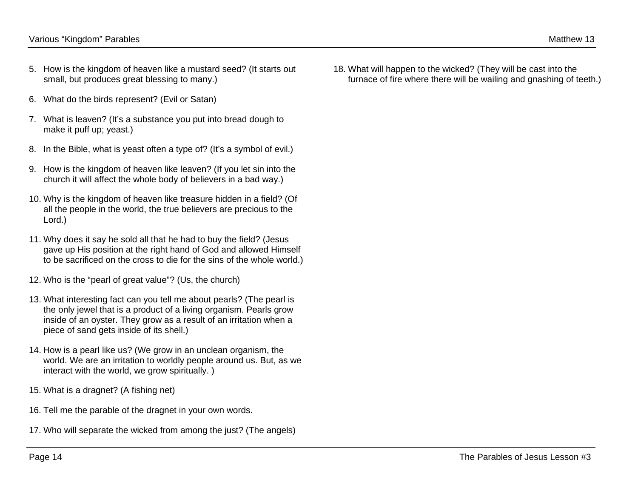- 5. How is the kingdom of heaven like a mustard seed? (It starts out small, but produces great blessing to many.)
- 6. What do the birds represent? (Evil or Satan)
- 7. What is leaven? (It's a substance you put into bread dough to make it puff up; yeast.)
- 8. In the Bible, what is yeast often a type of? (It's a symbol of evil.)
- 9. How is the kingdom of heaven like leaven? (If you let sin into the church it will affect the whole body of believers in a bad way.)
- 10. Why is the kingdom of heaven like treasure hidden in a field? (Of all the people in the world, the true believers are precious to the Lord.)
- 11. Why does it say he sold all that he had to buy the field? (Jesus gave up His position at the right hand of God and allowed Himself to be sacrificed on the cross to die for the sins of the whole world.)
- 12. Who is the "pearl of great value"? (Us, the church)
- 13. What interesting fact can you tell me about pearls? (The pearl is the only jewel that is a product of a living organism. Pearls grow inside of an oyster. They grow as a result of an irritation when a piece of sand gets inside of its shell.)
- 14. How is a pearl like us? (We grow in an unclean organism, the world. We are an irritation to worldly people around us. But, as we interact with the world, we grow spiritually. )
- 15. What is a dragnet? (A fishing net)
- 16. Tell me the parable of the dragnet in your own words.
- 17. Who will separate the wicked from among the just? (The angels)

18. What will happen to the wicked? (They will be cast into the furnace of fire where there will be wailing and gnashing of teeth.)